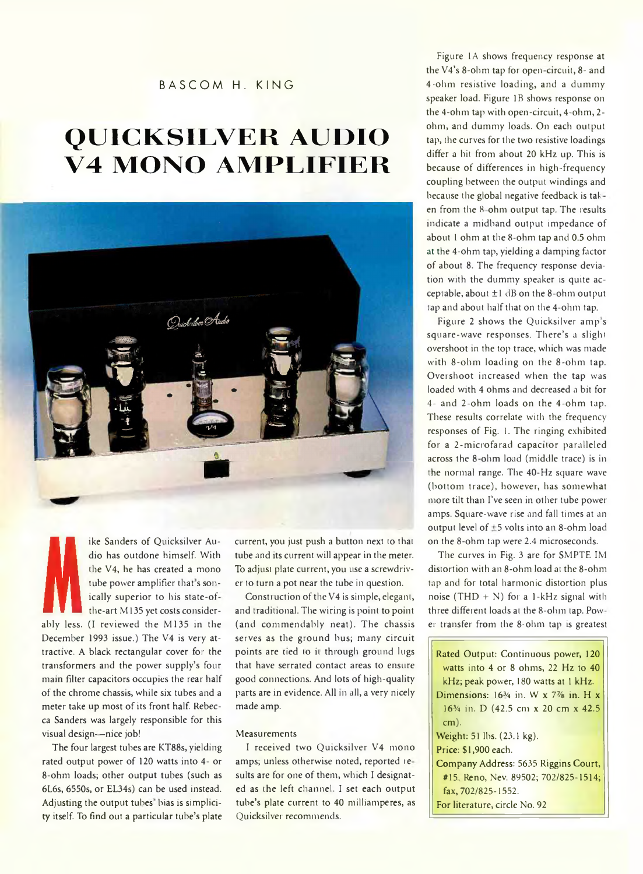### BASCOM H. KING

# **Q U IC K S IL V E R A U D IO V4 MONO AMPLIFIER**



**Manuely superior to his state-of-**<br>the-art M135 yet costs consider-<br>and trad<br>bly less. (I reviewed the M135 in the (and co ike Sanders of Quicksilver Audio has outdone himself. With the V4, he has created a mono tube power amplifier that's sonically superior to his state-of the-art M 135 yet costs consider-December 1993 issue.) The V4 is very attractive. A black rectangular cover for the transformers and the power supply's four main filter capacitors occupies the rear half of the chrome chassis, while six tubes and a meter take up most of its front half. Rebecca Sanders was largely responsible for this visual design-nice job!

The four largest tubes are KT88s, yielding rated output power of 120 watts into 4- or 8-ohm loads; other output tubes (such as 6L6s, 6550s, or EL34s) can be used instead. Adjusting the output tubes bias is simplicity itself. To find out a particular tube's plate current, you just push a button next to that tube and its current will appear in the meter. To adjust plate current, you use a screwdriver to turn a pot near the tube in question.

Construction of the V4 is simple, elegant, and traditional. The wiring is point to point (and commendably neat). The chassis serves as the ground bus; many circuit points are tied to it through ground lugs that have serrated contact areas to ensure good connections. And lots of high-quality parts are in evidence. All in all, a very nicely made amp.

#### **Measurements**

I received two Quicksilver V4 mono amps; unless otherwise noted, reported re sults are for one of them, which I designated as the left channel. I set each output tube's plate current to 40 milliamperes, as Quicksilver recommends.

Figure 1A shows frequency response at the V4's 8-ohm tap for open circuit, 8- and 4 -ohm resistive loading, and a dummy speaker load. Figure IB shows response on the 4-ohm tap with open-circuit, 4-ohm, 2 ohm, and dummy loads. On each output tap, the curves for the two resistive loadings differ a hit from about 20 kHz up. This is because of differences in high-frequency coupling between the output windings and because the global negative feedback is tak en from the 8-ohm output tap. The results indicate a midband output impedance of about 1 ohm at the 8-ohm tap and 0.5 ohm at the 4-ohm tap, yielding a damping factor of about 8. The frequency response deviation with the dummy speaker is quite acceptable, about  $\pm 1$  dB on the 8-ohm output tap and about half that on the 4-ohm tap.

Figure 2 shows the Quicksilver amp's square-wave responses. There's a slight overshoot in the top trace, which was made with 8-ohm loading on the 8-ohm tap. Overshoot increased when the tap was loaded with 4 ohms and decreased a bit for 4- and 2-ohm loads on the 4-ohm tap. These results correlate with the frequency responses of Fig. 1. The ringing exhibited for a 2-microfarad capacitor paralleled across the 8-ohm load (middle trace) is in the normal range. The 40-Hz square wave (bottom trace), however, has somewhat more tilt than I've seen in other tube power amps. Square-wave rise and fall times at an output level of  $\pm$ 5 volts into an 8-ohm load on the 8-ohm tap were 2.4 microseconds.

The curves in Fig. 3 are for SMPTE IM distortion with an 8-ohm load at the 8-ohm tap and for total harmonic distortion plus noise (THD + N) for a 1-kHz signal with three different loads at the 8-ohm tap. Pow er transfer from the 8-ohm tap is greatest

| Rated Output: Continuous power, 120                               |
|-------------------------------------------------------------------|
| watts into 4 or 8 ohms, 22 Hz to 40                               |
| kHz; peak power, 180 watts at 1 kHz.                              |
| Dimensions: $163$ 4 in. W x 7 <sup>7</sup> / <sub>8</sub> in. H x |
| 16 <sup>3</sup> / <sub>4</sub> in. D (42.5 cm x 20 cm x 42.5)     |
| $cm)$ .                                                           |
| Weight: 51 lbs. (23.1 kg).                                        |
| Price: \$1,900 each.                                              |
| Company Address: 5635 Riggins Court,                              |
| #15, Reno, Nev. 89502; 702/825-1514;                              |
| fax, 702/825-1552.                                                |
| For literature, circle No. 92                                     |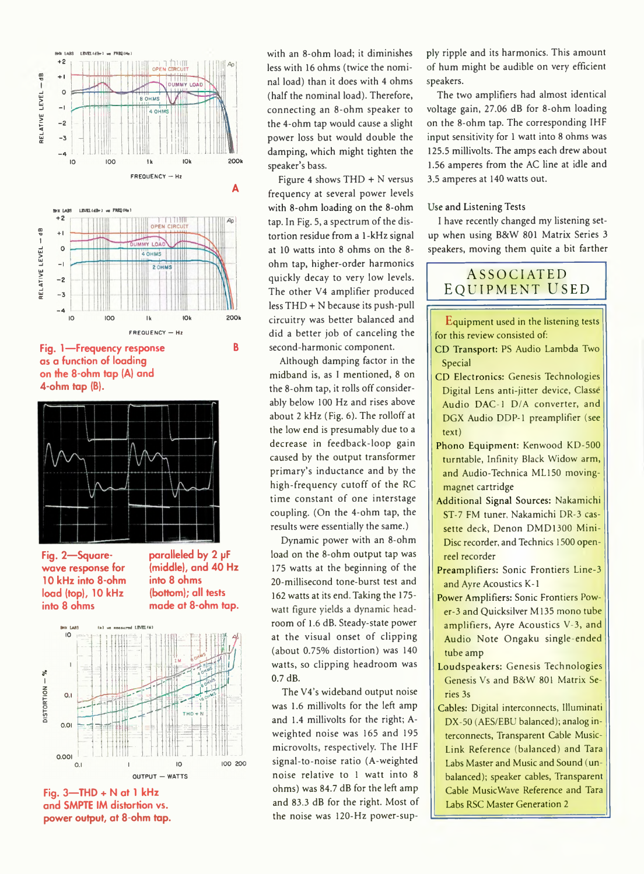

**Fig. 1— Frequency response B as a function of loading on the 8-ohm tap (A) and 4-ohm tap (B).**



**Fig. 2— Squarewave response for 10 kHz into 8-ohm load (top), 10 kHz into 8 ohms**

**paralleled by 2 pF (middle), and 40 Hz into 8 ohms (bottom); all tests made at 8-ohm tap.**



**Fig. 3—THD + N at 1 kHz and SMPTE IM distortion vs. power output, at 8-ohm tap.**

with an 8-ohm load; it diminishes less with 16 ohms (twice the nominal load) than it does with 4 ohms (half the nominal load). Therefore, connecting an 8-ohm speaker to the 4-ohm tap would cause a slight power loss but would double the damping, which might tighten the speaker's bass.

Figure 4 shows  $THD + N$  versus frequency at several power levels with 8-ohm loading on the 8-ohm tap. In Fig. 5, a spectrum of the distortion residue from a 1-kHz signal at 10 watts into 8 ohms on the 8 ohm tap, higher-order harmonics quickly decay to very low levels. The other V4 amplifier produced less THD + N because its push-pull circuitry was better balanced and did a better job of canceling the second-harmonic component.

Although damping factor in the midband is, as I mentioned, 8 on the 8-ohm tap, it rolls off considerably below 100 Hz and rises above about 2 kHz (Fig. 6). The rolloff at the low end is presumably due to a decrease in feedback-loop gain caused by the output transformer primary's inductance and by the high-frequency cutoff of the RC time constant of one interstage coupling. (On the 4-ohm tap, the results were essentially the same.)

Dynamic power with an 8-ohm load on the 8-ohm output tap was 175 watts at the beginning of the 20-millisecond tone-burst test and 162 watts at its end. Taking the 175 watt figure yields a dynamic headroom of 1.6 dB. Steady-state power at the visual onset of clipping (about 0.75% distortion) was 140 watts, so clipping headroom was 0.7 dB.

The V4's wideband output noise was 1.6 millivolts for the left amp and 1.4 millivolts for the right; Aweighted noise was 165 and 195 microvolts, respectively. The IHF signal-to-noise ratio (A-weighted noise relative to 1 watt into 8 ohms) was 84.7 dB for the left amp and 83.3 dB for the right. Most of the noise was 120-Hz power-supply ripple and its harmonics. This amount of hum might be audible on very efficient speakers.

The two amplifiers had almost identical voltage gain, 27.06 dB for 8-ohm loading on the 8-ohm tap. The corresponding IHF input sensitivity for 1 watt into 8 ohms was 125.5 millivolts. The amps each drew about 1.56 amperes from the AC line at idle and 3.5 amperes at 140 watts out.

#### Use and Listening Tests

I have recently changed my listening setup when using B8cW 801 Matrix Series 3 speakers, moving them quite a bit farther

## ASSOCIATED EQUIPMENT USED

Equipment used in the listening tests for this review consisted of:

- CD Transport: PS Audio Lambda Two Special
- CD Electronics: Genesis Technologies Digital Lens anti-jitter device, Classe Audio DAC-1 D/A converter, and DGX Audio DDP-1 preamplifier (see text)
- Phono Equipment: Kenwood KD-500 turntable, Infinity Black Widow arm, and Audio-Technica ML150 movingmagnet cartridge
- Additional Signal Sources: Nakamichi ST-7 FM tuner, Nakamichi DR-3 cassette deck, Denon DMD1300 Mini-Disc recorder, and Technics 1500 openreel recorder
- Preamplifiers: Sonic Frontiers Line-3 and Ayre Acoustics K-1
- Power Amplifiers: Sonic Frontiers Power-3 and Quicksilver M l35 mono tube amplifiers, Ayre Acoustics V-3, and Audio Note Ongaku single-ended tube amp
- Loudspeakers: Genesis Technologies Genesis Vs and B&W 801 Matrix Series 3s
- Cables: Digital interconnects, Illuminati DX-50 (AES/EBU balanced); analog interconnects, Transparent Cable Music-Link Reference (balanced) and Tara Labs Master and Music and Sound (unbalanced); speaker cables, Transparent Cable MusicWave Reference and Tara Labs RSC Master Generation 2